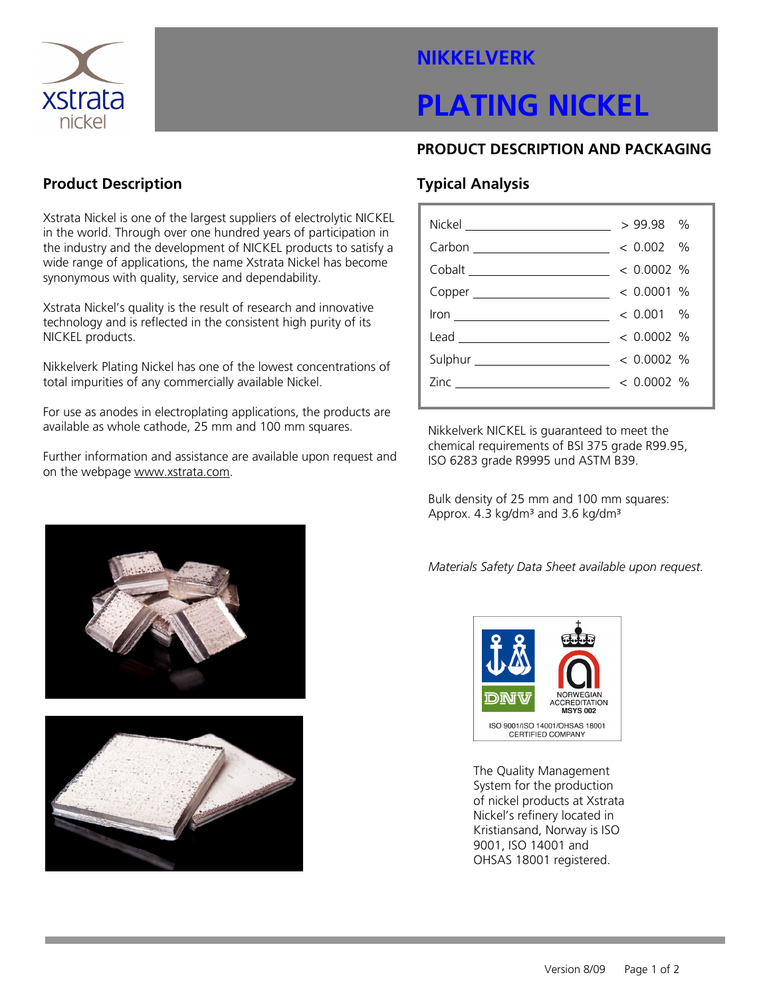

# NIKKELVERK

# PLATING NICKEL

### PRODUCT DESCRIPTION AND PACKAGING

### Product Description

Xstrata Nickel is one of the largest suppliers of electrolytic NICKEL in the world. Through over one hundred years of participation in the industry and the development of NICKEL products to satisfy a wide range of applications, the name Xstrata Nickel has become synonymous with quality, service and dependability.

Xstrata Nickel's quality is the result of research and innovative technology and is reflected in the consistent high purity of its NICKEL products.

Nikkelverk Plating Nickel has one of the lowest concentrations of total impurities of any commercially available Nickel.

For use as anodes in electroplating applications, the products are available as whole cathode, 25 mm and 100 mm squares.

Further information and assistance are available upon request and on the webpage www.xstrata.com.

# Typical Analysis

| Nickel __________________________                                                                                                                                                                                                                                                                         | $>99.98$ %   |  |
|-----------------------------------------------------------------------------------------------------------------------------------------------------------------------------------------------------------------------------------------------------------------------------------------------------------|--------------|--|
|                                                                                                                                                                                                                                                                                                           | $< 0.002$ %  |  |
|                                                                                                                                                                                                                                                                                                           |              |  |
|                                                                                                                                                                                                                                                                                                           |              |  |
|                                                                                                                                                                                                                                                                                                           |              |  |
| $\frac{1}{2}$ / $\frac{1}{2}$ / $\frac{1}{2}$ / $\frac{1}{2}$ / $\frac{1}{2}$ / $\frac{1}{2}$ / $\frac{1}{2}$ / $\frac{1}{2}$ / $\frac{1}{2}$ / $\frac{1}{2}$ / $\frac{1}{2}$ / $\frac{1}{2}$ / $\frac{1}{2}$ / $\frac{1}{2}$ / $\frac{1}{2}$ / $\frac{1}{2}$ / $\frac{1}{2}$ / $\frac{1}{2}$ / $\frac{1$ |              |  |
| Lead ___________________________                                                                                                                                                                                                                                                                          | $< 0.0002$ % |  |
|                                                                                                                                                                                                                                                                                                           |              |  |
|                                                                                                                                                                                                                                                                                                           | $< 0.0002$ % |  |

Nikkelverk NICKEL is guaranteed to meet the chemical requirements of BSI 375 grade R99.95, ISO 6283 grade R9995 und ASTM B39.

Bulk density of 25 mm and 100 mm squares: Approx.  $4.3 \text{ kg/dm}^3$  and  $3.6 \text{ kg/dm}^3$ 

Materials Safety Data Sheet available upon request.



The Quality Management System for the production of nickel products at Xstrata Nickel's refinery located in Kristiansand, Norway is ISO 9001, ISO 14001 and OHSAS 18001 registered.